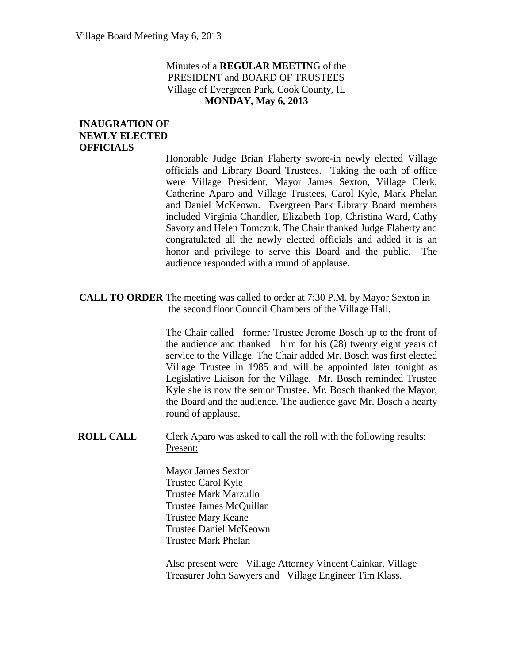#### Minutes of a **REGULAR MEETIN**G of the PRESIDENT and BOARD OF TRUSTEES Village of Evergreen Park, Cook County, IL **MONDAY, May 6, 2013**

#### **INAUGRATION OF NEWLY ELECTED OFFICIALS**

Honorable Judge Brian Flaherty swore-in newly elected Village officials and Library Board Trustees. Taking the oath of office were Village President, Mayor James Sexton, Village Clerk, Catherine Aparo and Village Trustees, Carol Kyle, Mark Phelan and Daniel McKeown. Evergreen Park Library Board members included Virginia Chandler, Elizabeth Top, Christina Ward, Cathy Savory and Helen Tomczuk. The Chair thanked Judge Flaherty and congratulated all the newly elected officials and added it is an honor and privilege to serve this Board and the public. The audience responded with a round of applause.

**CALL TO ORDER** The meeting was called to order at 7:30 P.M. by Mayor Sexton in the second floor Council Chambers of the Village Hall.

> The Chair called former Trustee Jerome Bosch up to the front of the audience and thanked him for his (28) twenty eight years of service to the Village. The Chair added Mr. Bosch was first elected Village Trustee in 1985 and will be appointed later tonight as Legislative Liaison for the Village. Mr. Bosch reminded Trustee Kyle she is now the senior Trustee. Mr. Bosch thanked the Mayor, the Board and the audience. The audience gave Mr. Bosch a hearty round of applause.

**ROLL CALL** Clerk Aparo was asked to call the roll with the following results: Present:

> Mayor James Sexton Trustee Carol Kyle Trustee Mark Marzullo Trustee James McQuillan Trustee Mary Keane Trustee Daniel McKeown Trustee Mark Phelan

Also present were Village Attorney Vincent Cainkar, Village Treasurer John Sawyers and Village Engineer Tim Klass.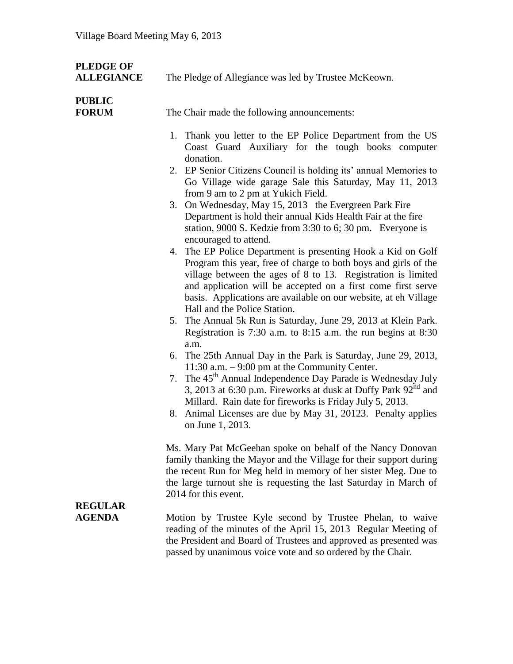| <b>PLEDGE OF</b><br><b>ALLEGIANCE</b> | The Pledge of Allegiance was led by Trustee McKeown.                                                                                                                                                                                                                                                                                                                                                                                                                                                                                                                                                                                                                                                                                                                                                                                                                                                                                                                                                                                                                                                                                                                                                                                                                                                                                                                                                                                                              |
|---------------------------------------|-------------------------------------------------------------------------------------------------------------------------------------------------------------------------------------------------------------------------------------------------------------------------------------------------------------------------------------------------------------------------------------------------------------------------------------------------------------------------------------------------------------------------------------------------------------------------------------------------------------------------------------------------------------------------------------------------------------------------------------------------------------------------------------------------------------------------------------------------------------------------------------------------------------------------------------------------------------------------------------------------------------------------------------------------------------------------------------------------------------------------------------------------------------------------------------------------------------------------------------------------------------------------------------------------------------------------------------------------------------------------------------------------------------------------------------------------------------------|
| <b>PUBLIC</b><br><b>FORUM</b>         | The Chair made the following announcements:                                                                                                                                                                                                                                                                                                                                                                                                                                                                                                                                                                                                                                                                                                                                                                                                                                                                                                                                                                                                                                                                                                                                                                                                                                                                                                                                                                                                                       |
|                                       | 1. Thank you letter to the EP Police Department from the US<br>Coast Guard Auxiliary for the tough books computer<br>donation.<br>2. EP Senior Citizens Council is holding its' annual Memories to<br>Go Village wide garage Sale this Saturday, May 11, 2013<br>from 9 am to 2 pm at Yukich Field.<br>3. On Wednesday, May 15, 2013 the Evergreen Park Fire<br>Department is hold their annual Kids Health Fair at the fire<br>station, 9000 S. Kedzie from 3:30 to 6; 30 pm. Everyone is<br>encouraged to attend.<br>4. The EP Police Department is presenting Hook a Kid on Golf<br>Program this year, free of charge to both boys and girls of the<br>village between the ages of 8 to 13. Registration is limited<br>and application will be accepted on a first come first serve<br>basis. Applications are available on our website, at eh Village<br>Hall and the Police Station.<br>5. The Annual 5k Run is Saturday, June 29, 2013 at Klein Park.<br>Registration is 7:30 a.m. to 8:15 a.m. the run begins at 8:30<br>a.m.<br>6. The 25th Annual Day in the Park is Saturday, June 29, 2013,<br>11:30 a.m. $-9:00$ pm at the Community Center.<br>7. The 45 <sup>th</sup> Annual Independence Day Parade is Wednesday July<br>3, 2013 at 6:30 p.m. Fireworks at dusk at Duffy Park 92 <sup>nd</sup> and<br>Millard. Rain date for fireworks is Friday July 5, 2013.<br>8. Animal Licenses are due by May 31, 20123. Penalty applies<br>on June 1, 2013. |
| <b>REGULAR</b><br><b>AGENDA</b>       | Ms. Mary Pat McGeehan spoke on behalf of the Nancy Donovan<br>family thanking the Mayor and the Village for their support during<br>the recent Run for Meg held in memory of her sister Meg. Due to<br>the large turnout she is requesting the last Saturday in March of<br>2014 for this event.<br>Motion by Trustee Kyle second by Trustee Phelan, to waive<br>reading of the minutes of the April 15, 2013 Regular Meeting of<br>the President and Board of Trustees and approved as presented was<br>passed by unanimous voice vote and so ordered by the Chair.                                                                                                                                                                                                                                                                                                                                                                                                                                                                                                                                                                                                                                                                                                                                                                                                                                                                                              |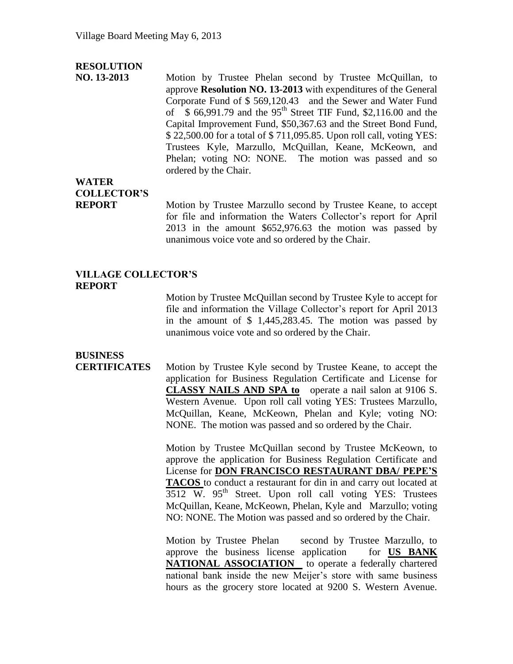#### **RESOLUTION**

**NO. 13-2013** Motion by Trustee Phelan second by Trustee McQuillan, to approve **Resolution NO. 13-2013** with expenditures of the General Corporate Fund of \$ 569,120.43 and the Sewer and Water Fund of  $$66,991.79$  and the 95<sup>th</sup> Street TIF Fund, \$2,116.00 and the Capital Improvement Fund, \$50,367.63 and the Street Bond Fund, \$ 22,500.00 for a total of \$ 711,095.85. Upon roll call, voting YES: Trustees Kyle, Marzullo, McQuillan, Keane, McKeown, and Phelan; voting NO: NONE. The motion was passed and so ordered by the Chair.

### **WATER COLLECTOR'S**

**REPORT** Motion by Trustee Marzullo second by Trustee Keane, to accept for file and information the Waters Collector's report for April 2013 in the amount \$652,976.63 the motion was passed by unanimous voice vote and so ordered by the Chair.

#### **VILLAGE COLLECTOR'S REPORT**

Motion by Trustee McQuillan second by Trustee Kyle to accept for file and information the Village Collector's report for April 2013 in the amount of \$ 1,445,283.45. The motion was passed by unanimous voice vote and so ordered by the Chair.

## **BUSINESS**

**CERTIFICATES** Motion by Trustee Kyle second by Trustee Keane, to accept the application for Business Regulation Certificate and License for **CLASSY NAILS AND SPA to** operate a nail salon at 9106 S. Western Avenue. Upon roll call voting YES: Trustees Marzullo, McQuillan, Keane, McKeown, Phelan and Kyle; voting NO: NONE. The motion was passed and so ordered by the Chair.

> Motion by Trustee McQuillan second by Trustee McKeown, to approve the application for Business Regulation Certificate and License for **DON FRANCISCO RESTAURANT DBA/ PEPE'S TACOS** to conduct a restaurant for din in and carry out located at  $3512$  W.  $95<sup>th</sup>$  Street. Upon roll call voting YES: Trustees McQuillan, Keane, McKeown, Phelan, Kyle and Marzullo; voting NO: NONE. The Motion was passed and so ordered by the Chair.

> Motion by Trustee Phelan second by Trustee Marzullo, to approve the business license application for **US BANK NATIONAL ASSOCIATION** to operate a federally chartered national bank inside the new Meijer's store with same business hours as the grocery store located at 9200 S. Western Avenue.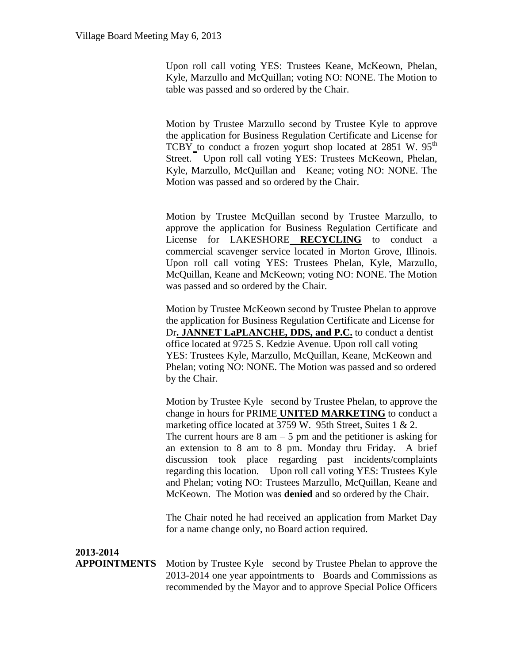Upon roll call voting YES: Trustees Keane, McKeown, Phelan, Kyle, Marzullo and McQuillan; voting NO: NONE. The Motion to table was passed and so ordered by the Chair.

Motion by Trustee Marzullo second by Trustee Kyle to approve the application for Business Regulation Certificate and License for TCBY to conduct a frozen yogurt shop located at  $2851$  W.  $95<sup>th</sup>$ Street. Upon roll call voting YES: Trustees McKeown, Phelan, Kyle, Marzullo, McQuillan and Keane; voting NO: NONE. The Motion was passed and so ordered by the Chair.

Motion by Trustee McQuillan second by Trustee Marzullo, to approve the application for Business Regulation Certificate and License for LAKESHORE **RECYCLING** to conduct a commercial scavenger service located in Morton Grove, Illinois. Upon roll call voting YES: Trustees Phelan, Kyle, Marzullo, McQuillan, Keane and McKeown; voting NO: NONE. The Motion was passed and so ordered by the Chair.

Motion by Trustee McKeown second by Trustee Phelan to approve the application for Business Regulation Certificate and License for Dr**. JANNET LaPLANCHE, DDS, and P.C.** to conduct a dentist office located at 9725 S. Kedzie Avenue. Upon roll call voting YES: Trustees Kyle, Marzullo, McQuillan, Keane, McKeown and Phelan; voting NO: NONE. The Motion was passed and so ordered by the Chair.

Motion by Trustee Kyle second by Trustee Phelan, to approve the change in hours for PRIME **UNITED MARKETING** to conduct a marketing office located at 3759 W. 95th Street, Suites 1 & 2. The current hours are  $8 \text{ am} - 5 \text{ pm}$  and the petitioner is asking for an extension to 8 am to 8 pm. Monday thru Friday. A brief discussion took place regarding past incidents/complaints regarding this location. Upon roll call voting YES: Trustees Kyle and Phelan; voting NO: Trustees Marzullo, McQuillan, Keane and McKeown. The Motion was **denied** and so ordered by the Chair.

The Chair noted he had received an application from Market Day for a name change only, no Board action required.

**2013-2014**

**APPOINTMENTS** Motion by Trustee Kyle second by Trustee Phelan to approve the 2013-2014 one year appointments to Boards and Commissions as recommended by the Mayor and to approve Special Police Officers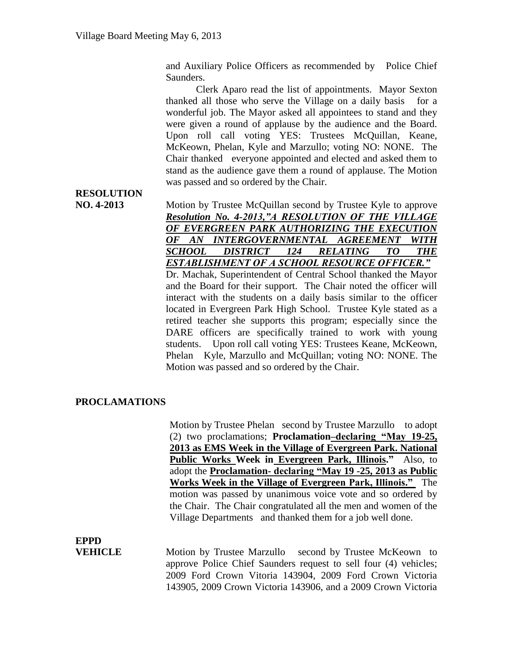and Auxiliary Police Officers as recommended by Police Chief Saunders.

Clerk Aparo read the list of appointments. Mayor Sexton thanked all those who serve the Village on a daily basis for a wonderful job. The Mayor asked all appointees to stand and they were given a round of applause by the audience and the Board. Upon roll call voting YES: Trustees McQuillan, Keane, McKeown, Phelan, Kyle and Marzullo; voting NO: NONE. The Chair thanked everyone appointed and elected and asked them to stand as the audience gave them a round of applause. The Motion was passed and so ordered by the Chair.

# **RESOLUTION**

**NO. 4-2013** Motion by Trustee McQuillan second by Trustee Kyle to approve *Resolution No. 4-2013,"A RESOLUTION OF THE VILLAGE OF EVERGREEN PARK AUTHORIZING THE EXECUTION OF AN INTERGOVERNMENTAL AGREEMENT WITH SCHOOL DISTRICT 124 RELATING TO THE ESTABLISHMENT OF A SCHOOL RESOURCE OFFICER."* 

Dr. Machak, Superintendent of Central School thanked the Mayor and the Board for their support. The Chair noted the officer will interact with the students on a daily basis similar to the officer located in Evergreen Park High School. Trustee Kyle stated as a retired teacher she supports this program; especially since the DARE officers are specifically trained to work with young students. Upon roll call voting YES: Trustees Keane, McKeown, Phelan Kyle, Marzullo and McQuillan; voting NO: NONE. The Motion was passed and so ordered by the Chair.

#### **PROCLAMATIONS**

Motion by Trustee Phelan second by Trustee Marzullo to adopt (2) two proclamations; **Proclamation–declaring "May 19-25, 2013 as EMS Week in the Village of Evergreen Park. National Public Works Week in Evergreen Park, Illinois."** Also, to adopt the **Proclamation- declaring "May 19 -25, 2013 as Public Works Week in the Village of Evergreen Park, Illinois."** The motion was passed by unanimous voice vote and so ordered by the Chair. The Chair congratulated all the men and women of the Village Departments and thanked them for a job well done.

## **EPPD**

**VEHICLE** Motion by Trustee Marzullo second by Trustee McKeown to approve Police Chief Saunders request to sell four (4) vehicles; 2009 Ford Crown Vitoria 143904, 2009 Ford Crown Victoria 143905, 2009 Crown Victoria 143906, and a 2009 Crown Victoria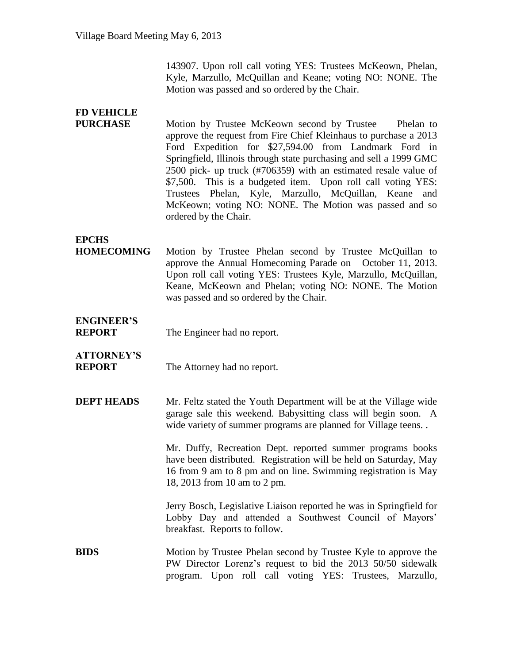143907. Upon roll call voting YES: Trustees McKeown, Phelan, Kyle, Marzullo, McQuillan and Keane; voting NO: NONE. The Motion was passed and so ordered by the Chair.

| <b>FD VEHICLE</b>                  |                                                                                                                                                                                                                                                                                                                                                                                                                                                                                                                                               |
|------------------------------------|-----------------------------------------------------------------------------------------------------------------------------------------------------------------------------------------------------------------------------------------------------------------------------------------------------------------------------------------------------------------------------------------------------------------------------------------------------------------------------------------------------------------------------------------------|
| <b>PURCHASE</b>                    | Motion by Trustee McKeown second by Trustee<br>Phelan to<br>approve the request from Fire Chief Kleinhaus to purchase a 2013<br>Ford Expedition for \$27,594.00 from Landmark Ford in<br>Springfield, Illinois through state purchasing and sell a 1999 GMC<br>2500 pick- up truck (#706359) with an estimated resale value of<br>\$7,500. This is a budgeted item. Upon roll call voting YES:<br>Trustees Phelan, Kyle, Marzullo, McQuillan, Keane<br>and<br>McKeown; voting NO: NONE. The Motion was passed and so<br>ordered by the Chair. |
| <b>EPCHS</b>                       |                                                                                                                                                                                                                                                                                                                                                                                                                                                                                                                                               |
| <b>HOMECOMING</b>                  | Motion by Trustee Phelan second by Trustee McQuillan to<br>approve the Annual Homecoming Parade on October 11, 2013.<br>Upon roll call voting YES: Trustees Kyle, Marzullo, McQuillan,<br>Keane, McKeown and Phelan; voting NO: NONE. The Motion<br>was passed and so ordered by the Chair.                                                                                                                                                                                                                                                   |
| <b>ENGINEER'S</b><br><b>REPORT</b> | The Engineer had no report.                                                                                                                                                                                                                                                                                                                                                                                                                                                                                                                   |
| <b>ATTORNEY'S</b><br><b>REPORT</b> | The Attorney had no report.                                                                                                                                                                                                                                                                                                                                                                                                                                                                                                                   |
| <b>DEPT HEADS</b>                  | Mr. Feltz stated the Youth Department will be at the Village wide<br>garage sale this weekend. Babysitting class will begin soon. A<br>wide variety of summer programs are planned for Village teens                                                                                                                                                                                                                                                                                                                                          |
|                                    | Mr. Duffy, Recreation Dept. reported summer programs books<br>have been distributed. Registration will be held on Saturday, May<br>16 from 9 am to 8 pm and on line. Swimming registration is May<br>18, 2013 from 10 am to 2 pm.                                                                                                                                                                                                                                                                                                             |
|                                    | Jerry Bosch, Legislative Liaison reported he was in Springfield for<br>Lobby Day and attended a Southwest Council of Mayors'<br>breakfast. Reports to follow.                                                                                                                                                                                                                                                                                                                                                                                 |
| BIDS                               | Motion by Trustee Phelan second by Trustee Kyle to approve the<br>PW Director Lorenz's request to bid the 2013 50/50 sidewalk<br>program. Upon roll call voting YES: Trustees, Marzullo,                                                                                                                                                                                                                                                                                                                                                      |